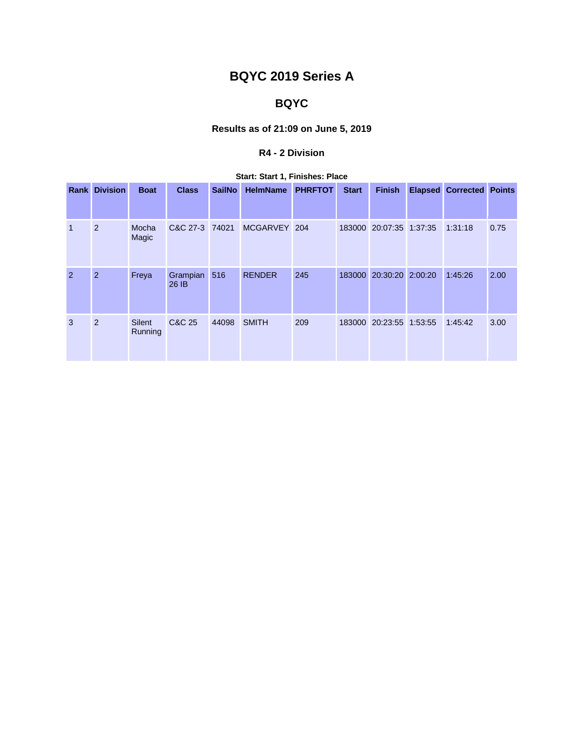# **BQYC 2019 Series A**

# **BQYC**

## **Results as of 21:09 on June 5, 2019**

## **R4 - 2 Division**

|              | <b>Rank Division</b> | <b>Boat</b>       | <b>Class</b>      | <b>SailNo</b> | <b>HelmName</b> | <b>PHRFTOT</b> | <b>Start</b> | <b>Finish</b>           | <b>Elapsed Corrected Points</b> |      |
|--------------|----------------------|-------------------|-------------------|---------------|-----------------|----------------|--------------|-------------------------|---------------------------------|------|
| $\mathbf{1}$ | $\overline{2}$       | Mocha<br>Magic    | C&C 27-3 74021    |               | MCGARVEY 204    |                |              | 183000 20:07:35 1:37:35 | 1:31:18                         | 0.75 |
| 2            | $\overline{2}$       | Freya             | Grampian<br>26 IB | 516           | <b>RENDER</b>   | 245            | 183000       | 20:30:20 2:00:20        | 1:45:26                         | 2.00 |
| 3            | 2                    | Silent<br>Running | C&C 25            | 44098         | <b>SMITH</b>    | 209            |              | 183000 20:23:55 1:53:55 | 1:45:42                         | 3.00 |

#### **Start: Start 1, Finishes: Place**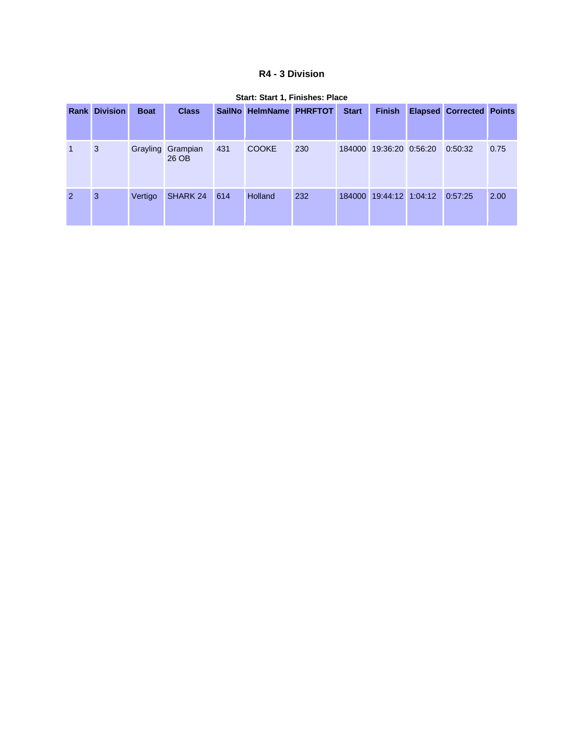#### **R4 - 3 Division**

|                | <b>Rank Division</b> | <b>Boat</b> | <b>Class</b>               |     | SailNo HelmName PHRFTOT |     | <b>Start</b> | <b>Finish</b>           | <b>Elapsed Corrected Points</b> |      |
|----------------|----------------------|-------------|----------------------------|-----|-------------------------|-----|--------------|-------------------------|---------------------------------|------|
|                | 3                    |             | Grayling Grampian<br>26 OB | 431 | <b>COOKE</b>            | 230 |              | 184000 19:36:20 0:56:20 | 0:50:32                         | 0.75 |
| $\overline{2}$ | 3                    | Vertigo     | SHARK 24                   | 614 | Holland                 | 232 | 184000       | 19:44:12 1:04:12        | 0:57:25                         | 2.00 |

#### **Start: Start 1, Finishes: Place**